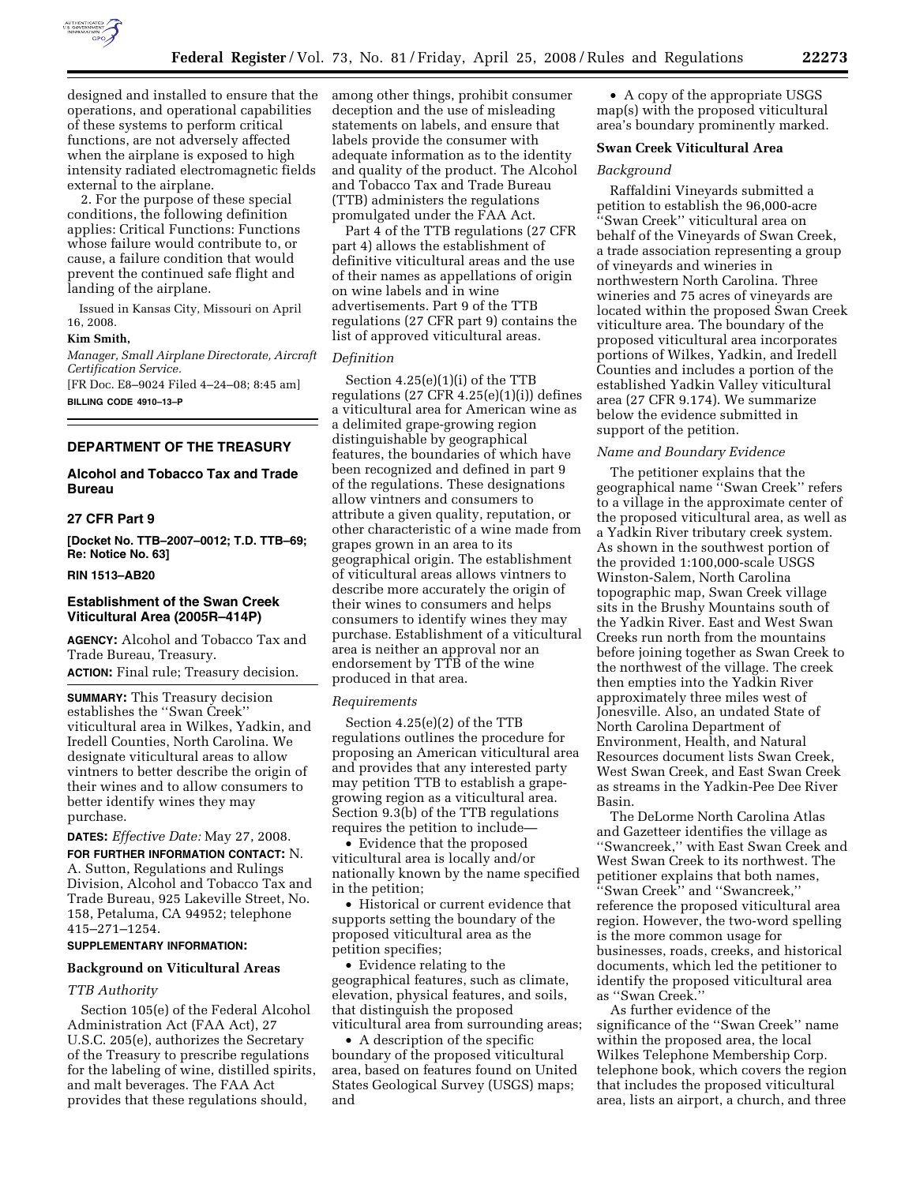

designed and installed to ensure that the operations, and operational capabilities of these systems to perform critical functions, are not adversely affected when the airplane is exposed to high intensity radiated electromagnetic fields external to the airplane.

2. For the purpose of these special conditions, the following definition applies: Critical Functions: Functions whose failure would contribute to, or cause, a failure condition that would prevent the continued safe flight and landing of the airplane.

Issued in Kansas City, Missouri on April 16, 2008.

#### **Kim Smith,**

*Manager, Small Airplane Directorate, Aircraft Certification Service.* 

[FR Doc. E8–9024 Filed 4–24–08; 8:45 am] **BILLING CODE 4910–13–P** 

# **DEPARTMENT OF THE TREASURY**

### **Alcohol and Tobacco Tax and Trade Bureau**

### **27 CFR Part 9**

**[Docket No. TTB–2007–0012; T.D. TTB–69; Re: Notice No. 63]** 

### **RIN 1513–AB20**

# **Establishment of the Swan Creek Viticultural Area (2005R–414P)**

**AGENCY:** Alcohol and Tobacco Tax and Trade Bureau, Treasury.

**ACTION:** Final rule; Treasury decision.

**SUMMARY:** This Treasury decision establishes the ''Swan Creek'' viticultural area in Wilkes, Yadkin, and Iredell Counties, North Carolina. We designate viticultural areas to allow vintners to better describe the origin of their wines and to allow consumers to better identify wines they may purchase.

**DATES:** *Effective Date:* May 27, 2008.

**FOR FURTHER INFORMATION CONTACT:** N. A. Sutton, Regulations and Rulings Division, Alcohol and Tobacco Tax and Trade Bureau, 925 Lakeville Street, No. 158, Petaluma, CA 94952; telephone 415–271–1254.

# **SUPPLEMENTARY INFORMATION:**

### **Background on Viticultural Areas**

### *TTB Authority*

Section 105(e) of the Federal Alcohol Administration Act (FAA Act), 27 U.S.C. 205(e), authorizes the Secretary of the Treasury to prescribe regulations for the labeling of wine, distilled spirits, and malt beverages. The FAA Act provides that these regulations should,

among other things, prohibit consumer deception and the use of misleading statements on labels, and ensure that labels provide the consumer with adequate information as to the identity and quality of the product. The Alcohol and Tobacco Tax and Trade Bureau (TTB) administers the regulations promulgated under the FAA Act.

Part 4 of the TTB regulations (27 CFR part 4) allows the establishment of definitive viticultural areas and the use of their names as appellations of origin on wine labels and in wine advertisements. Part 9 of the TTB regulations (27 CFR part 9) contains the list of approved viticultural areas.

#### *Definition*

Section 4.25(e)(1)(i) of the TTB regulations (27 CFR 4.25(e)(1)(i)) defines a viticultural area for American wine as a delimited grape-growing region distinguishable by geographical features, the boundaries of which have been recognized and defined in part 9 of the regulations. These designations allow vintners and consumers to attribute a given quality, reputation, or other characteristic of a wine made from grapes grown in an area to its geographical origin. The establishment of viticultural areas allows vintners to describe more accurately the origin of their wines to consumers and helps consumers to identify wines they may purchase. Establishment of a viticultural area is neither an approval nor an endorsement by TTB of the wine produced in that area.

#### *Requirements*

Section 4.25(e)(2) of the TTB regulations outlines the procedure for proposing an American viticultural area and provides that any interested party may petition TTB to establish a grapegrowing region as a viticultural area. Section 9.3(b) of the TTB regulations requires the petition to include—

• Evidence that the proposed viticultural area is locally and/or nationally known by the name specified in the petition;

• Historical or current evidence that supports setting the boundary of the proposed viticultural area as the petition specifies;

• Evidence relating to the geographical features, such as climate, elevation, physical features, and soils, that distinguish the proposed viticultural area from surrounding areas;

• A description of the specific boundary of the proposed viticultural area, based on features found on United States Geological Survey (USGS) maps; and

• A copy of the appropriate USGS map(s) with the proposed viticultural area's boundary prominently marked.

### **Swan Creek Viticultural Area**

### *Background*

Raffaldini Vineyards submitted a petition to establish the 96,000-acre ''Swan Creek'' viticultural area on behalf of the Vineyards of Swan Creek, a trade association representing a group of vineyards and wineries in northwestern North Carolina. Three wineries and 75 acres of vineyards are located within the proposed Swan Creek viticulture area. The boundary of the proposed viticultural area incorporates portions of Wilkes, Yadkin, and Iredell Counties and includes a portion of the established Yadkin Valley viticultural area (27 CFR 9.174). We summarize below the evidence submitted in support of the petition.

#### *Name and Boundary Evidence*

The petitioner explains that the geographical name ''Swan Creek'' refers to a village in the approximate center of the proposed viticultural area, as well as a Yadkin River tributary creek system. As shown in the southwest portion of the provided 1:100,000-scale USGS Winston-Salem, North Carolina topographic map, Swan Creek village sits in the Brushy Mountains south of the Yadkin River. East and West Swan Creeks run north from the mountains before joining together as Swan Creek to the northwest of the village. The creek then empties into the Yadkin River approximately three miles west of Jonesville. Also, an undated State of North Carolina Department of Environment, Health, and Natural Resources document lists Swan Creek, West Swan Creek, and East Swan Creek as streams in the Yadkin-Pee Dee River Basin.

The DeLorme North Carolina Atlas and Gazetteer identifies the village as ''Swancreek,'' with East Swan Creek and West Swan Creek to its northwest. The petitioner explains that both names, ''Swan Creek'' and ''Swancreek,'' reference the proposed viticultural area region. However, the two-word spelling is the more common usage for businesses, roads, creeks, and historical documents, which led the petitioner to identify the proposed viticultural area as ''Swan Creek.''

As further evidence of the significance of the ''Swan Creek'' name within the proposed area, the local Wilkes Telephone Membership Corp. telephone book, which covers the region that includes the proposed viticultural area, lists an airport, a church, and three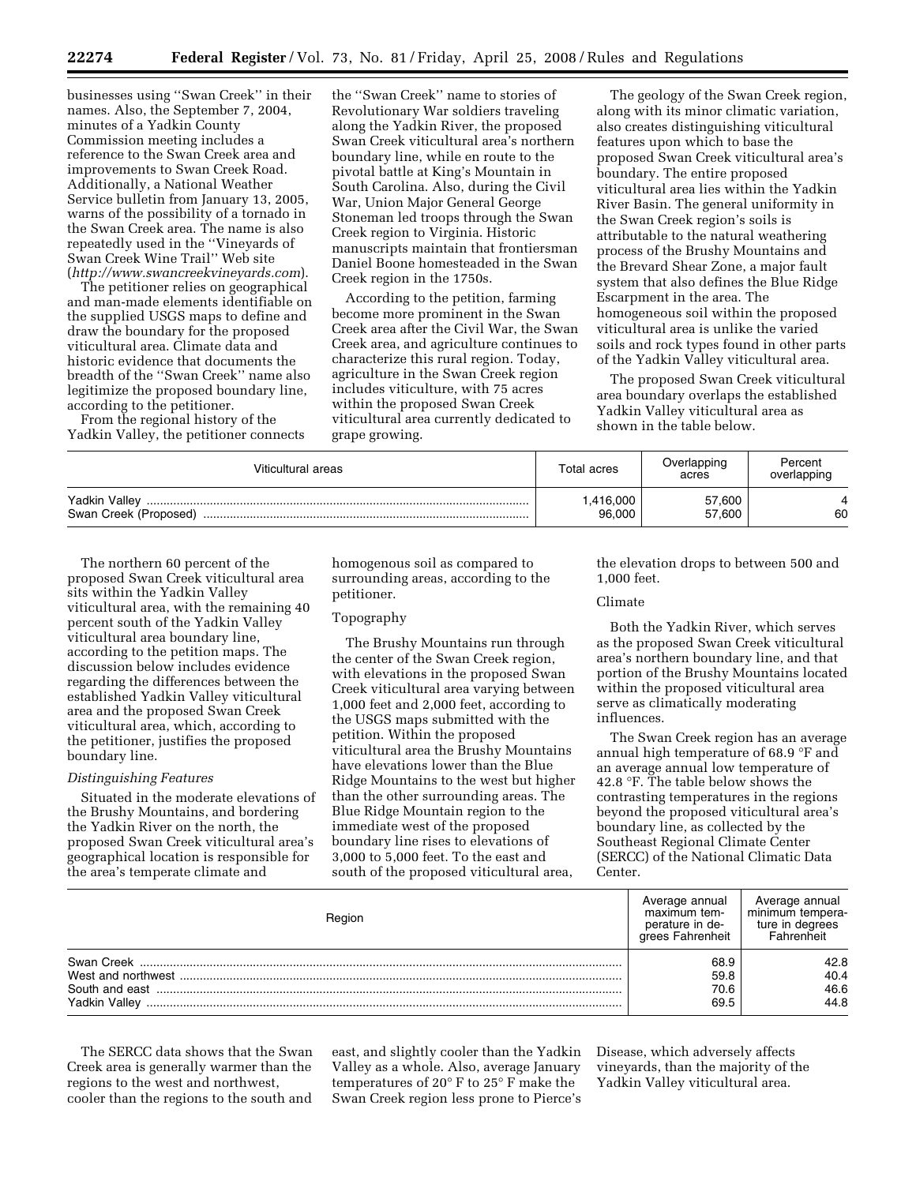businesses using ''Swan Creek'' in their names. Also, the September 7, 2004, minutes of a Yadkin County Commission meeting includes a reference to the Swan Creek area and improvements to Swan Creek Road. Additionally, a National Weather Service bulletin from January 13, 2005, warns of the possibility of a tornado in the Swan Creek area. The name is also repeatedly used in the ''Vineyards of Swan Creek Wine Trail'' Web site (*http://www.swancreekvineyards.com*).

The petitioner relies on geographical and man-made elements identifiable on the supplied USGS maps to define and draw the boundary for the proposed viticultural area. Climate data and historic evidence that documents the breadth of the ''Swan Creek'' name also legitimize the proposed boundary line, according to the petitioner.

From the regional history of the Yadkin Valley, the petitioner connects

the ''Swan Creek'' name to stories of Revolutionary War soldiers traveling along the Yadkin River, the proposed Swan Creek viticultural area's northern boundary line, while en route to the pivotal battle at King's Mountain in South Carolina. Also, during the Civil War, Union Major General George Stoneman led troops through the Swan Creek region to Virginia. Historic manuscripts maintain that frontiersman Daniel Boone homesteaded in the Swan Creek region in the 1750s.

According to the petition, farming become more prominent in the Swan Creek area after the Civil War, the Swan Creek area, and agriculture continues to characterize this rural region. Today, agriculture in the Swan Creek region includes viticulture, with 75 acres within the proposed Swan Creek viticultural area currently dedicated to grape growing.

The geology of the Swan Creek region, along with its minor climatic variation, also creates distinguishing viticultural features upon which to base the proposed Swan Creek viticultural area's boundary. The entire proposed viticultural area lies within the Yadkin River Basin. The general uniformity in the Swan Creek region's soils is attributable to the natural weathering process of the Brushy Mountains and the Brevard Shear Zone, a major fault system that also defines the Blue Ridge Escarpment in the area. The homogeneous soil within the proposed viticultural area is unlike the varied soils and rock types found in other parts of the Yadkin Valley viticultural area.

The proposed Swan Creek viticultural area boundary overlaps the established Yadkin Valley viticultural area as shown in the table below.

| Viticultural areas                     | Total acres        | Overlapping<br>acres | Percent<br>overlapping |
|----------------------------------------|--------------------|----------------------|------------------------|
| Yadkin Valley<br>Swan Creek (Proposed) | ,416,000<br>96,000 | 57,600<br>57,600     | 60                     |

The northern 60 percent of the proposed Swan Creek viticultural area sits within the Yadkin Valley viticultural area, with the remaining 40 percent south of the Yadkin Valley viticultural area boundary line, according to the petition maps. The discussion below includes evidence regarding the differences between the established Yadkin Valley viticultural area and the proposed Swan Creek viticultural area, which, according to the petitioner, justifies the proposed boundary line.

# *Distinguishing Features*

Situated in the moderate elevations of the Brushy Mountains, and bordering the Yadkin River on the north, the proposed Swan Creek viticultural area's geographical location is responsible for the area's temperate climate and

homogenous soil as compared to surrounding areas, according to the petitioner.

# Topography

The Brushy Mountains run through the center of the Swan Creek region, with elevations in the proposed Swan Creek viticultural area varying between 1,000 feet and 2,000 feet, according to the USGS maps submitted with the petition. Within the proposed viticultural area the Brushy Mountains have elevations lower than the Blue Ridge Mountains to the west but higher than the other surrounding areas. The Blue Ridge Mountain region to the immediate west of the proposed boundary line rises to elevations of 3,000 to 5,000 feet. To the east and south of the proposed viticultural area,

the elevation drops to between 500 and 1,000 feet.

### Climate

Both the Yadkin River, which serves as the proposed Swan Creek viticultural area's northern boundary line, and that portion of the Brushy Mountains located within the proposed viticultural area serve as climatically moderating influences.

The Swan Creek region has an average annual high temperature of 68.9 °F and an average annual low temperature of 42.8 °F. The table below shows the contrasting temperatures in the regions beyond the proposed viticultural area's boundary line, as collected by the Southeast Regional Climate Center (SERCC) of the National Climatic Data Center.

| Region                                 | Average annual<br>maximum tem-<br>perature in de-<br>grees Fahrenheit | Average annual<br>minimum tempera-<br>ture in dearees<br>Fahrenheit |
|----------------------------------------|-----------------------------------------------------------------------|---------------------------------------------------------------------|
| Swan Creek<br>West and northwest       | 68.9<br>59.8                                                          | 42.8<br>40.4                                                        |
| South and east<br><b>Yadkin Vallev</b> | 70.6<br>69.5                                                          | 46.6<br>44.8                                                        |

The SERCC data shows that the Swan Creek area is generally warmer than the regions to the west and northwest, cooler than the regions to the south and east, and slightly cooler than the Yadkin Valley as a whole. Also, average January temperatures of 20° F to 25° F make the Swan Creek region less prone to Pierce's

Disease, which adversely affects vineyards, than the majority of the Yadkin Valley viticultural area.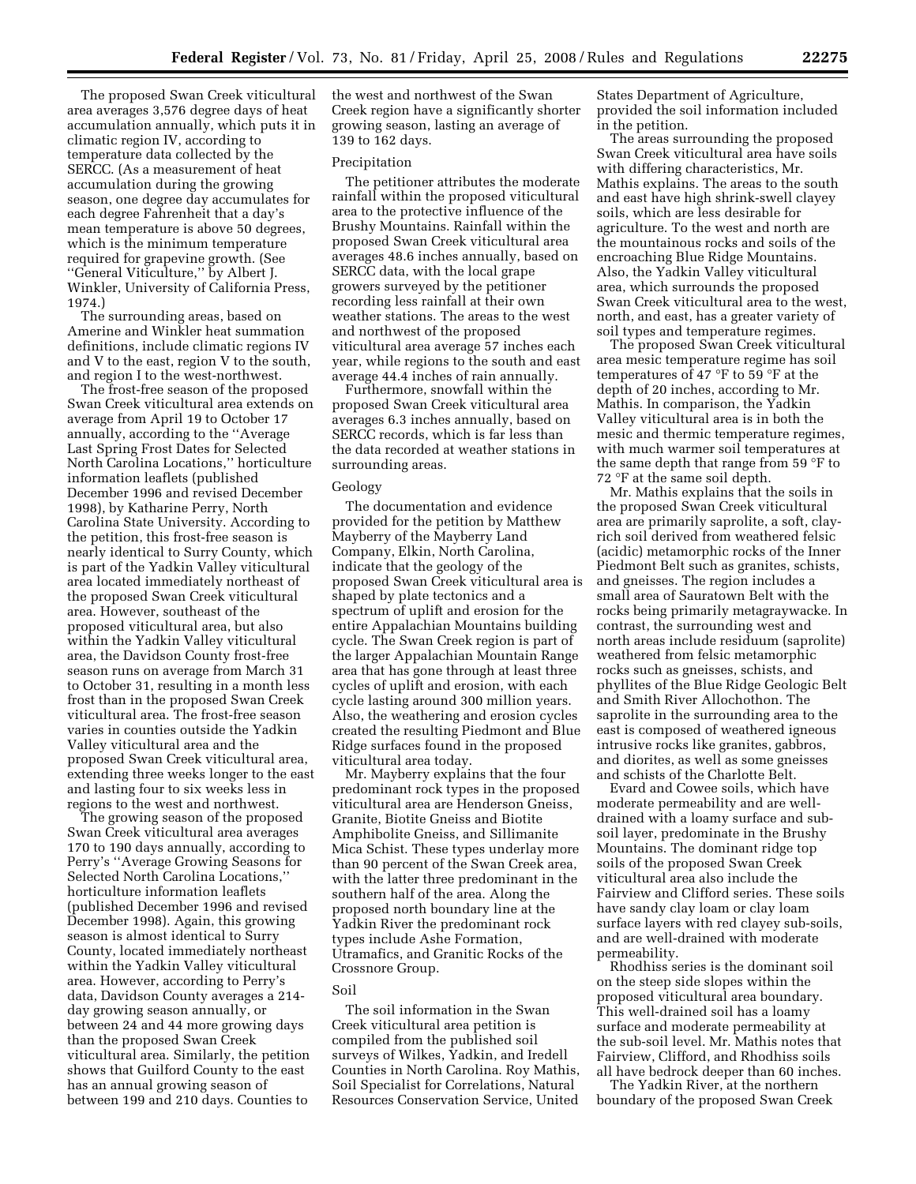The proposed Swan Creek viticultural area averages 3,576 degree days of heat accumulation annually, which puts it in climatic region IV, according to temperature data collected by the SERCC. (As a measurement of heat accumulation during the growing season, one degree day accumulates for each degree Fahrenheit that a day's mean temperature is above 50 degrees, which is the minimum temperature required for grapevine growth. (See ''General Viticulture,'' by Albert J. Winkler, University of California Press, 1974.)

The surrounding areas, based on Amerine and Winkler heat summation definitions, include climatic regions IV and V to the east, region V to the south, and region I to the west-northwest.

The frost-free season of the proposed Swan Creek viticultural area extends on average from April 19 to October 17 annually, according to the ''Average Last Spring Frost Dates for Selected North Carolina Locations,'' horticulture information leaflets (published December 1996 and revised December 1998), by Katharine Perry, North Carolina State University. According to the petition, this frost-free season is nearly identical to Surry County, which is part of the Yadkin Valley viticultural area located immediately northeast of the proposed Swan Creek viticultural area. However, southeast of the proposed viticultural area, but also within the Yadkin Valley viticultural area, the Davidson County frost-free season runs on average from March 31 to October 31, resulting in a month less frost than in the proposed Swan Creek viticultural area. The frost-free season varies in counties outside the Yadkin Valley viticultural area and the proposed Swan Creek viticultural area, extending three weeks longer to the east and lasting four to six weeks less in regions to the west and northwest.

The growing season of the proposed Swan Creek viticultural area averages 170 to 190 days annually, according to Perry's ''Average Growing Seasons for Selected North Carolina Locations,'' horticulture information leaflets (published December 1996 and revised December 1998). Again, this growing season is almost identical to Surry County, located immediately northeast within the Yadkin Valley viticultural area. However, according to Perry's data, Davidson County averages a 214 day growing season annually, or between 24 and 44 more growing days than the proposed Swan Creek viticultural area. Similarly, the petition shows that Guilford County to the east has an annual growing season of between 199 and 210 days. Counties to

the west and northwest of the Swan Creek region have a significantly shorter growing season, lasting an average of 139 to 162 days.

#### Precipitation

The petitioner attributes the moderate rainfall within the proposed viticultural area to the protective influence of the Brushy Mountains. Rainfall within the proposed Swan Creek viticultural area averages 48.6 inches annually, based on SERCC data, with the local grape growers surveyed by the petitioner recording less rainfall at their own weather stations. The areas to the west and northwest of the proposed viticultural area average 57 inches each year, while regions to the south and east average 44.4 inches of rain annually.

Furthermore, snowfall within the proposed Swan Creek viticultural area averages 6.3 inches annually, based on SERCC records, which is far less than the data recorded at weather stations in surrounding areas.

#### Geology

The documentation and evidence provided for the petition by Matthew Mayberry of the Mayberry Land Company, Elkin, North Carolina, indicate that the geology of the proposed Swan Creek viticultural area is shaped by plate tectonics and a spectrum of uplift and erosion for the entire Appalachian Mountains building cycle. The Swan Creek region is part of the larger Appalachian Mountain Range area that has gone through at least three cycles of uplift and erosion, with each cycle lasting around 300 million years. Also, the weathering and erosion cycles created the resulting Piedmont and Blue Ridge surfaces found in the proposed viticultural area today.

Mr. Mayberry explains that the four predominant rock types in the proposed viticultural area are Henderson Gneiss, Granite, Biotite Gneiss and Biotite Amphibolite Gneiss, and Sillimanite Mica Schist. These types underlay more than 90 percent of the Swan Creek area, with the latter three predominant in the southern half of the area. Along the proposed north boundary line at the Yadkin River the predominant rock types include Ashe Formation, Utramafics, and Granitic Rocks of the Crossnore Group.

#### Soil

The soil information in the Swan Creek viticultural area petition is compiled from the published soil surveys of Wilkes, Yadkin, and Iredell Counties in North Carolina. Roy Mathis, Soil Specialist for Correlations, Natural Resources Conservation Service, United

States Department of Agriculture, provided the soil information included in the petition.

The areas surrounding the proposed Swan Creek viticultural area have soils with differing characteristics, Mr. Mathis explains. The areas to the south and east have high shrink-swell clayey soils, which are less desirable for agriculture. To the west and north are the mountainous rocks and soils of the encroaching Blue Ridge Mountains. Also, the Yadkin Valley viticultural area, which surrounds the proposed Swan Creek viticultural area to the west, north, and east, has a greater variety of soil types and temperature regimes.

The proposed Swan Creek viticultural area mesic temperature regime has soil temperatures of 47 °F to 59 °F at the depth of 20 inches, according to Mr. Mathis. In comparison, the Yadkin Valley viticultural area is in both the mesic and thermic temperature regimes, with much warmer soil temperatures at the same depth that range from 59 °F to 72 °F at the same soil depth.

Mr. Mathis explains that the soils in the proposed Swan Creek viticultural area are primarily saprolite, a soft, clayrich soil derived from weathered felsic (acidic) metamorphic rocks of the Inner Piedmont Belt such as granites, schists, and gneisses. The region includes a small area of Sauratown Belt with the rocks being primarily metagraywacke. In contrast, the surrounding west and north areas include residuum (saprolite) weathered from felsic metamorphic rocks such as gneisses, schists, and phyllites of the Blue Ridge Geologic Belt and Smith River Allochothon. The saprolite in the surrounding area to the east is composed of weathered igneous intrusive rocks like granites, gabbros, and diorites, as well as some gneisses and schists of the Charlotte Belt.

Evard and Cowee soils, which have moderate permeability and are welldrained with a loamy surface and subsoil layer, predominate in the Brushy Mountains. The dominant ridge top soils of the proposed Swan Creek viticultural area also include the Fairview and Clifford series. These soils have sandy clay loam or clay loam surface layers with red clayey sub-soils, and are well-drained with moderate permeability.

Rhodhiss series is the dominant soil on the steep side slopes within the proposed viticultural area boundary. This well-drained soil has a loamy surface and moderate permeability at the sub-soil level. Mr. Mathis notes that Fairview, Clifford, and Rhodhiss soils all have bedrock deeper than 60 inches.

The Yadkin River, at the northern boundary of the proposed Swan Creek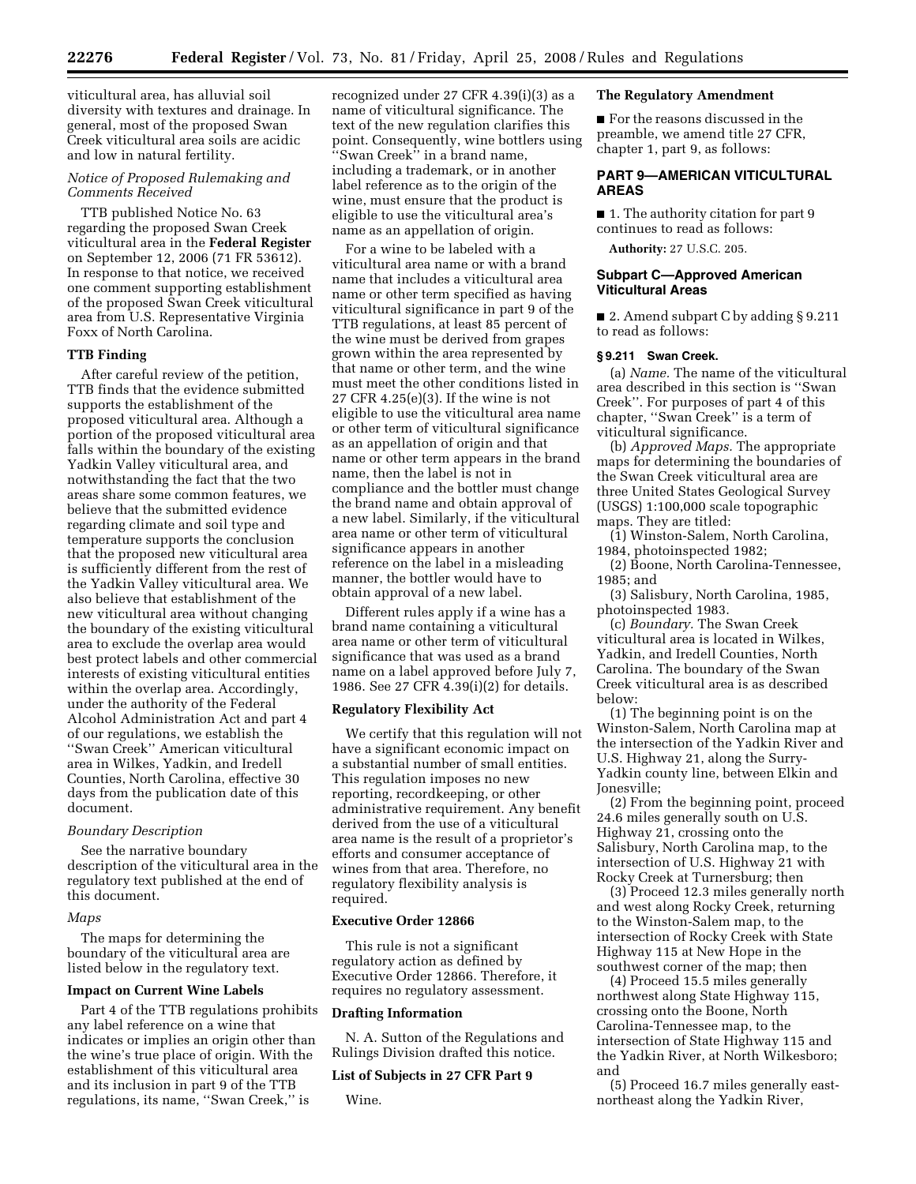viticultural area, has alluvial soil diversity with textures and drainage. In general, most of the proposed Swan Creek viticultural area soils are acidic and low in natural fertility.

# *Notice of Proposed Rulemaking and Comments Received*

TTB published Notice No. 63 regarding the proposed Swan Creek viticultural area in the **Federal Register**  on September 12, 2006 (71 FR 53612). In response to that notice, we received one comment supporting establishment of the proposed Swan Creek viticultural area from U.S. Representative Virginia Foxx of North Carolina.

### **TTB Finding**

After careful review of the petition, TTB finds that the evidence submitted supports the establishment of the proposed viticultural area. Although a portion of the proposed viticultural area falls within the boundary of the existing Yadkin Valley viticultural area, and notwithstanding the fact that the two areas share some common features, we believe that the submitted evidence regarding climate and soil type and temperature supports the conclusion that the proposed new viticultural area is sufficiently different from the rest of the Yadkin Valley viticultural area. We also believe that establishment of the new viticultural area without changing the boundary of the existing viticultural area to exclude the overlap area would best protect labels and other commercial interests of existing viticultural entities within the overlap area. Accordingly, under the authority of the Federal Alcohol Administration Act and part 4 of our regulations, we establish the ''Swan Creek'' American viticultural area in Wilkes, Yadkin, and Iredell Counties, North Carolina, effective 30 days from the publication date of this document.

### *Boundary Description*

See the narrative boundary description of the viticultural area in the regulatory text published at the end of this document.

### *Maps*

The maps for determining the boundary of the viticultural area are listed below in the regulatory text.

#### **Impact on Current Wine Labels**

Part 4 of the TTB regulations prohibits any label reference on a wine that indicates or implies an origin other than the wine's true place of origin. With the establishment of this viticultural area and its inclusion in part 9 of the TTB regulations, its name, ''Swan Creek,'' is

recognized under 27 CFR 4.39(i)(3) as a name of viticultural significance. The text of the new regulation clarifies this point. Consequently, wine bottlers using ''Swan Creek'' in a brand name, including a trademark, or in another label reference as to the origin of the wine, must ensure that the product is eligible to use the viticultural area's name as an appellation of origin.

For a wine to be labeled with a viticultural area name or with a brand name that includes a viticultural area name or other term specified as having viticultural significance in part 9 of the TTB regulations, at least 85 percent of the wine must be derived from grapes grown within the area represented by that name or other term, and the wine must meet the other conditions listed in 27 CFR 4.25(e)(3). If the wine is not eligible to use the viticultural area name or other term of viticultural significance as an appellation of origin and that name or other term appears in the brand name, then the label is not in compliance and the bottler must change the brand name and obtain approval of a new label. Similarly, if the viticultural area name or other term of viticultural significance appears in another reference on the label in a misleading manner, the bottler would have to obtain approval of a new label.

Different rules apply if a wine has a brand name containing a viticultural area name or other term of viticultural significance that was used as a brand name on a label approved before July 7, 1986. See 27 CFR 4.39(i)(2) for details.

### **Regulatory Flexibility Act**

We certify that this regulation will not have a significant economic impact on a substantial number of small entities. This regulation imposes no new reporting, recordkeeping, or other administrative requirement. Any benefit derived from the use of a viticultural area name is the result of a proprietor's efforts and consumer acceptance of wines from that area. Therefore, no regulatory flexibility analysis is required.

### **Executive Order 12866**

This rule is not a significant regulatory action as defined by Executive Order 12866. Therefore, it requires no regulatory assessment.

### **Drafting Information**

N. A. Sutton of the Regulations and Rulings Division drafted this notice.

# **List of Subjects in 27 CFR Part 9**

Wine.

### **The Regulatory Amendment**

■ For the reasons discussed in the preamble, we amend title 27 CFR, chapter 1, part 9, as follows:

# **PART 9—AMERICAN VITICULTURAL AREAS**

■ 1. The authority citation for part 9 continues to read as follows:

**Authority:** 27 U.S.C. 205.

### **Subpart C—Approved American Viticultural Areas**

■ 2. Amend subpart C by adding § 9.211 to read as follows:

### **§ 9.211 Swan Creek.**

(a) *Name.* The name of the viticultural area described in this section is ''Swan Creek''. For purposes of part 4 of this chapter, ''Swan Creek'' is a term of viticultural significance.

(b) *Approved Maps.* The appropriate maps for determining the boundaries of the Swan Creek viticultural area are three United States Geological Survey (USGS) 1:100,000 scale topographic maps. They are titled:

(1) Winston-Salem, North Carolina, 1984, photoinspected 1982;

(2) Boone, North Carolina-Tennessee, 1985; and

(3) Salisbury, North Carolina, 1985, photoinspected 1983.

(c) *Boundary.* The Swan Creek viticultural area is located in Wilkes, Yadkin, and Iredell Counties, North Carolina. The boundary of the Swan Creek viticultural area is as described below:

(1) The beginning point is on the Winston-Salem, North Carolina map at the intersection of the Yadkin River and U.S. Highway 21, along the Surry-Yadkin county line, between Elkin and Jonesville;

(2) From the beginning point, proceed 24.6 miles generally south on U.S. Highway 21, crossing onto the Salisbury, North Carolina map, to the intersection of U.S. Highway 21 with Rocky Creek at Turnersburg; then

(3) Proceed 12.3 miles generally north and west along Rocky Creek, returning to the Winston-Salem map, to the intersection of Rocky Creek with State Highway 115 at New Hope in the southwest corner of the map; then

(4) Proceed 15.5 miles generally northwest along State Highway 115, crossing onto the Boone, North Carolina-Tennessee map, to the intersection of State Highway 115 and the Yadkin River, at North Wilkesboro; and

(5) Proceed 16.7 miles generally eastnortheast along the Yadkin River,